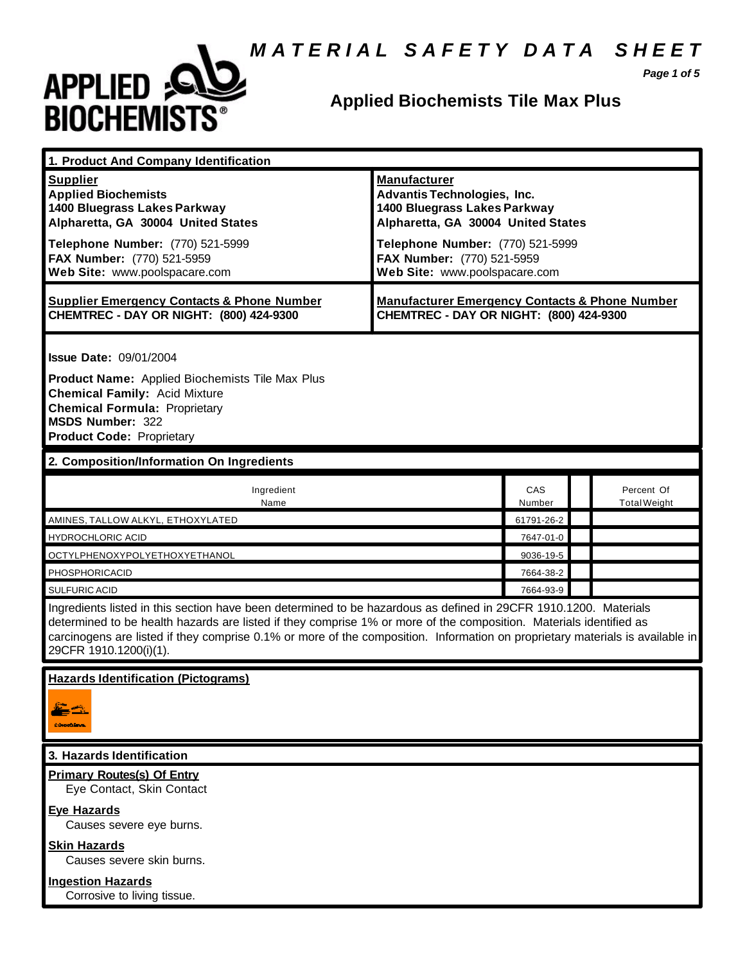# *M A T E R I A L S A F E T Y D A T A S H E E T*



# **Applied Biochemists Tile Max Plus**

*Page 1 of 5*

| 1. Product And Company Identification                                                                                                                                                                                                                                                                                                                                                             |                                                                                                                                                                                                                                    |                         |  |                                   |  |
|---------------------------------------------------------------------------------------------------------------------------------------------------------------------------------------------------------------------------------------------------------------------------------------------------------------------------------------------------------------------------------------------------|------------------------------------------------------------------------------------------------------------------------------------------------------------------------------------------------------------------------------------|-------------------------|--|-----------------------------------|--|
| <b>Supplier</b><br><b>Applied Biochemists</b><br>1400 Bluegrass Lakes Parkway<br>Alpharetta, GA 30004 United States<br>Telephone Number: (770) 521-5999<br>FAX Number: (770) 521-5959<br>Web Site: www.poolspacare.com                                                                                                                                                                            | <b>Manufacturer</b><br><b>Advantis Technologies, Inc.</b><br>1400 Bluegrass Lakes Parkway<br>Alpharetta, GA 30004 United States<br>Telephone Number: (770) 521-5999<br>FAX Number: (770) 521-5959<br>Web Site: www.poolspacare.com |                         |  |                                   |  |
| <b>Supplier Emergency Contacts &amp; Phone Number</b><br>CHEMTREC - DAY OR NIGHT: (800) 424-9300                                                                                                                                                                                                                                                                                                  | <b>Manufacturer Emergency Contacts &amp; Phone Number</b><br>CHEMTREC - DAY OR NIGHT: (800) 424-9300                                                                                                                               |                         |  |                                   |  |
| <b>Issue Date: 09/01/2004</b><br>Product Name: Applied Biochemists Tile Max Plus<br><b>Chemical Family: Acid Mixture</b><br><b>Chemical Formula: Proprietary</b><br><b>MSDS Number: 322</b><br><b>Product Code: Proprietary</b>                                                                                                                                                                   |                                                                                                                                                                                                                                    |                         |  |                                   |  |
| 2. Composition/Information On Ingredients                                                                                                                                                                                                                                                                                                                                                         |                                                                                                                                                                                                                                    |                         |  |                                   |  |
| Ingredient<br>Name                                                                                                                                                                                                                                                                                                                                                                                |                                                                                                                                                                                                                                    | CAS<br>Number           |  | Percent Of<br><b>Total Weight</b> |  |
| AMINES, TALLOW ALKYL, ETHOXYLATED<br><b>HYDROCHLORIC ACID</b>                                                                                                                                                                                                                                                                                                                                     |                                                                                                                                                                                                                                    | 61791-26-2<br>7647-01-0 |  |                                   |  |
| OCTYLPHENOXYPOLYETHOXYETHANOL                                                                                                                                                                                                                                                                                                                                                                     |                                                                                                                                                                                                                                    | 9036-19-5               |  |                                   |  |
| PHOSPHORICACID                                                                                                                                                                                                                                                                                                                                                                                    |                                                                                                                                                                                                                                    | 7664-38-2               |  |                                   |  |
| <b>SULFURIC ACID</b>                                                                                                                                                                                                                                                                                                                                                                              |                                                                                                                                                                                                                                    | 7664-93-9               |  |                                   |  |
| Ingredients listed in this section have been determined to be hazardous as defined in 29CFR 1910.1200. Materials<br>determined to be health hazards are listed if they comprise 1% or more of the composition. Materials identified as<br>carcinogens are listed if they comprise 0.1% or more of the composition. Information on proprietary materials is available in<br>29CFR 1910.1200(i)(1). |                                                                                                                                                                                                                                    |                         |  |                                   |  |
| <b>Hazards Identification (Pictograms)</b>                                                                                                                                                                                                                                                                                                                                                        |                                                                                                                                                                                                                                    |                         |  |                                   |  |
| 3. Hazards Identification                                                                                                                                                                                                                                                                                                                                                                         |                                                                                                                                                                                                                                    |                         |  |                                   |  |
| <b>Primary Routes(s) Of Entry</b><br>Eye Contact, Skin Contact                                                                                                                                                                                                                                                                                                                                    |                                                                                                                                                                                                                                    |                         |  |                                   |  |
| <b>Eye Hazards</b><br>Causes severe eye burns.                                                                                                                                                                                                                                                                                                                                                    |                                                                                                                                                                                                                                    |                         |  |                                   |  |
| <b>Skin Hazards</b><br>Causes severe skin burns.                                                                                                                                                                                                                                                                                                                                                  |                                                                                                                                                                                                                                    |                         |  |                                   |  |

**Ingestion Hazards**

Corrosive to living tissue.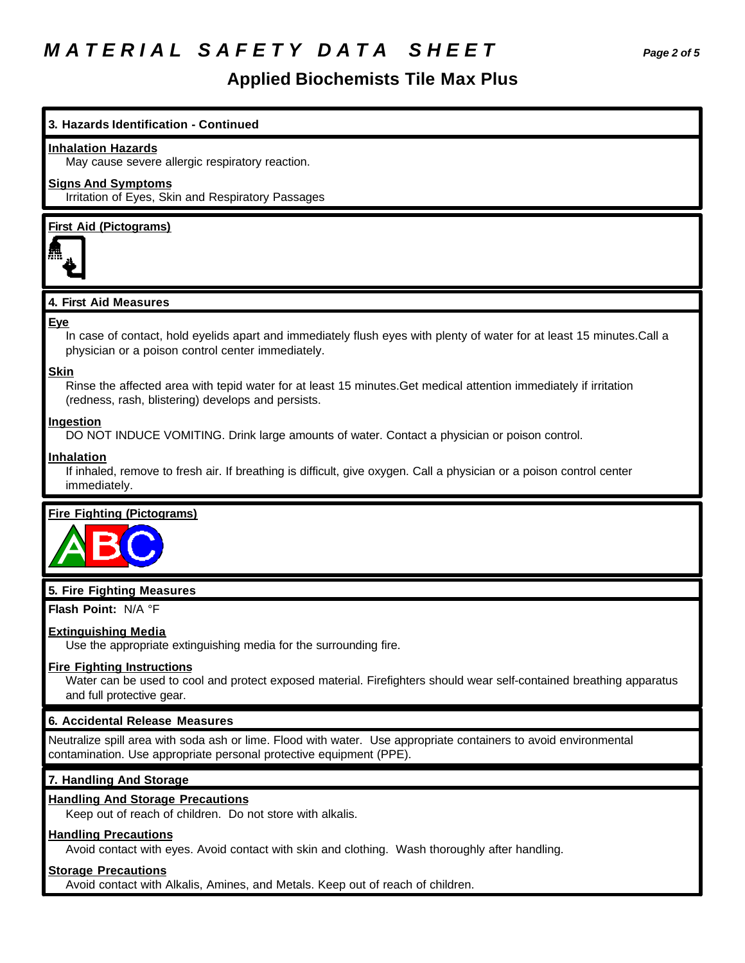# *M A T E R I A L S A F E T Y D A T A S H E E T Page 2 of 5*

### **Applied Biochemists Tile Max Plus**

### **3. Hazards Identification - Continued**

#### **Inhalation Hazards**

May cause severe allergic respiratory reaction.

#### **Signs And Symptoms**

Irritation of Eyes, Skin and Respiratory Passages

#### **First Aid (Pictograms)**



#### **4. First Aid Measures**

#### **Eye**

In case of contact, hold eyelids apart and immediately flush eyes with plenty of water for at least 15 minutes.Call a physician or a poison control center immediately.

#### **Skin**

Rinse the affected area with tepid water for at least 15 minutes.Get medical attention immediately if irritation (redness, rash, blistering) develops and persists.

#### **Ingestion**

DO NOT INDUCE VOMITING. Drink large amounts of water. Contact a physician or poison control.

#### **Inhalation**

If inhaled, remove to fresh air. If breathing is difficult, give oxygen. Call a physician or a poison control center immediately.

#### **Fire Fighting (Pictograms)**



#### **5. Fire Fighting Measures**

**Flash Point:** N/A °F

#### **Extinguishing Media**

Use the appropriate extinguishing media for the surrounding fire.

#### **Fire Fighting Instructions**

Water can be used to cool and protect exposed material. Firefighters should wear self-contained breathing apparatus and full protective gear.

#### **6. Accidental Release Measures**

Neutralize spill area with soda ash or lime. Flood with water. Use appropriate containers to avoid environmental contamination. Use appropriate personal protective equipment (PPE).

#### **7. Handling And Storage**

#### **Handling And Storage Precautions**

Keep out of reach of children. Do not store with alkalis.

#### **Handling Precautions**

Avoid contact with eyes. Avoid contact with skin and clothing. Wash thoroughly after handling.

#### **Storage Precautions**

Avoid contact with Alkalis, Amines, and Metals. Keep out of reach of children.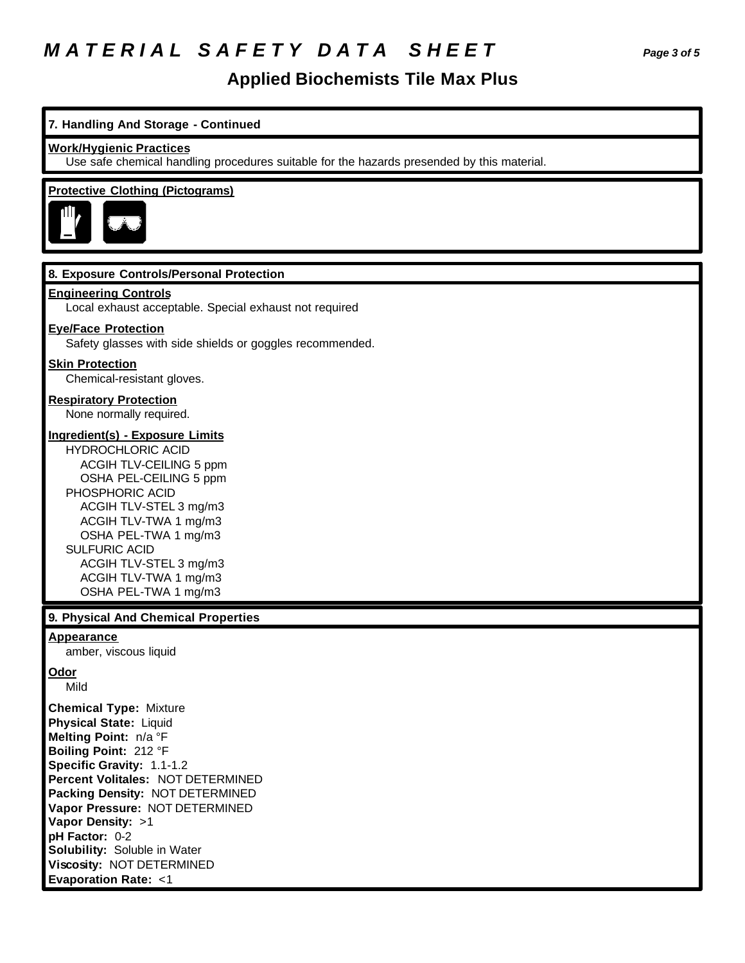# *M A T E R I A L S A F E T Y D A T A S H E E T Page 3 of 5*

### **Applied Biochemists Tile Max Plus**

#### **7. Handling And Storage - Continued**

#### **Work/Hygienic Practices**

Use safe chemical handling procedures suitable for the hazards presended by this material.

#### **Protective Clothing (Pictograms)**



#### **8. Exposure Controls/Personal Protection**

#### **Engineering Controls**

Local exhaust acceptable. Special exhaust not required

#### **Eye/Face Protection**

Safety glasses with side shields or goggles recommended.

#### **Skin Protection**

Chemical-resistant gloves.

### **Respiratory Protection**

None normally required.

#### **Ingredient(s) - Exposure Limits**

HYDROCHLORIC ACID ACGIH TLV-CEILING 5 ppm OSHA PEL-CEILING 5 ppm PHOSPHORIC ACID ACGIH TLV-STEL 3 mg/m3 ACGIH TLV-TWA 1 mg/m3 OSHA PEL-TWA 1 mg/m3 SULFURIC ACID ACGIH TLV-STEL 3 mg/m3 ACGIH TLV-TWA 1 mg/m3 OSHA PEL-TWA 1 mg/m3

#### **9. Physical And Chemical Properties**

#### **Appearance**

amber, viscous liquid

#### **Odor**

Mild

**Chemical Type:** Mixture **Physical State:** Liquid **Melting Point:** n/a °F **Boiling Point:** 212 °F **Specific Gravity:** 1.1-1.2 **Percent Volitales:** NOT DETERMINED **Packing Density:** NOT DETERMINED **Vapor Pressure:** NOT DETERMINED **Vapor Density:** >1 **pH Factor:** 0-2 **Solubility:** Soluble in Water **Viscosity:** NOT DETERMINED **Evaporation Rate:** <1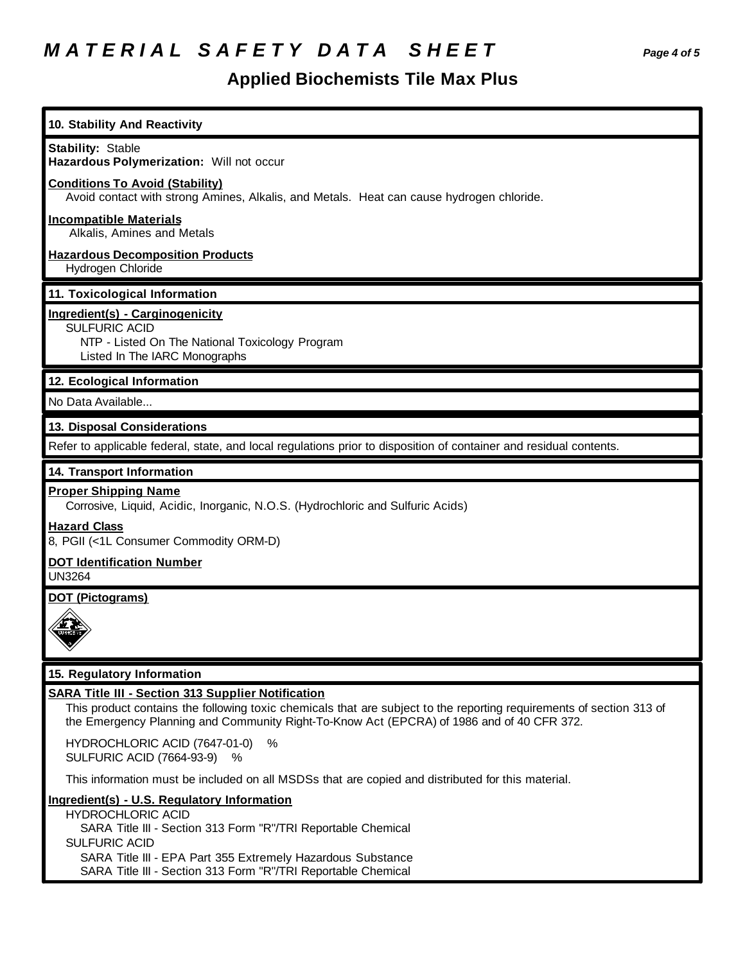# *M A T E R I A L S A F E T Y D A T A S H E E T Page 4 of 5*

# **Applied Biochemists Tile Max Plus**

| 10. Stability And Reactivity                                                                                                                                                                                                                                                   |
|--------------------------------------------------------------------------------------------------------------------------------------------------------------------------------------------------------------------------------------------------------------------------------|
| <b>Stability: Stable</b><br>Hazardous Polymerization: Will not occur                                                                                                                                                                                                           |
| <b>Conditions To Avoid (Stability)</b><br>Avoid contact with strong Amines, Alkalis, and Metals. Heat can cause hydrogen chloride.                                                                                                                                             |
| <b>Incompatible Materials</b><br>Alkalis, Amines and Metals                                                                                                                                                                                                                    |
| <b>Hazardous Decomposition Products</b><br>Hydrogen Chloride                                                                                                                                                                                                                   |
| 11. Toxicological Information                                                                                                                                                                                                                                                  |
| Ingredient(s) - Carginogenicity<br><b>SULFURIC ACID</b><br>NTP - Listed On The National Toxicology Program<br>Listed In The IARC Monographs                                                                                                                                    |
| 12. Ecological Information                                                                                                                                                                                                                                                     |
| No Data Available                                                                                                                                                                                                                                                              |
| 13. Disposal Considerations                                                                                                                                                                                                                                                    |
| Refer to applicable federal, state, and local regulations prior to disposition of container and residual contents.                                                                                                                                                             |
| 14. Transport Information                                                                                                                                                                                                                                                      |
| <b>Proper Shipping Name</b><br>Corrosive, Liquid, Acidic, Inorganic, N.O.S. (Hydrochloric and Sulfuric Acids)                                                                                                                                                                  |
| <b>Hazard Class</b><br>8, PGII (<1L Consumer Commodity ORM-D)                                                                                                                                                                                                                  |
| <b>DOT Identification Number</b><br><b>UN3264</b>                                                                                                                                                                                                                              |
| <b>DOT (Pictograms)</b>                                                                                                                                                                                                                                                        |
|                                                                                                                                                                                                                                                                                |
| 15. Regulatory Information                                                                                                                                                                                                                                                     |
| <b>SARA Title III - Section 313 Supplier Notification</b><br>This product contains the following toxic chemicals that are subject to the reporting requirements of section 313 of<br>the Emergency Planning and Community Right-To-Know Act (EPCRA) of 1986 and of 40 CFR 372. |
| HYDROCHLORIC ACID (7647-01-0)<br>$\%$<br><b>SULFURIC ACID (7664-93-9)</b><br>$\%$                                                                                                                                                                                              |
| This information must be included on all MSDSs that are copied and distributed for this material.                                                                                                                                                                              |
| Ingredient(s) - U.S. Regulatory Information<br><b>HYDROCHLORIC ACID</b><br>SARA Title III - Section 313 Form "R"/TRI Reportable Chemical                                                                                                                                       |

SULFURIC ACID

SARA Title III - EPA Part 355 Extremely Hazardous Substance

SARA Title III - Section 313 Form "R"/TRI Reportable Chemical